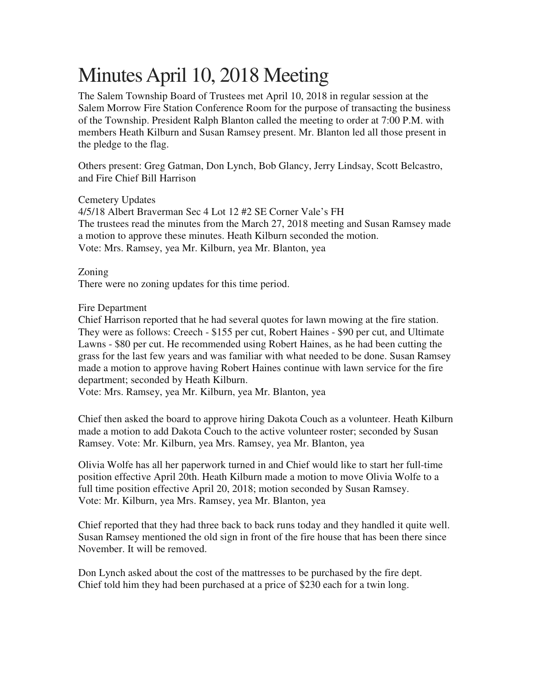## Minutes April 10, 2018 Meeting

The Salem Township Board of Trustees met April 10, 2018 in regular session at the Salem Morrow Fire Station Conference Room for the purpose of transacting the business of the Township. President Ralph Blanton called the meeting to order at 7:00 P.M. with members Heath Kilburn and Susan Ramsey present. Mr. Blanton led all those present in the pledge to the flag.

Others present: Greg Gatman, Don Lynch, Bob Glancy, Jerry Lindsay, Scott Belcastro, and Fire Chief Bill Harrison

Cemetery Updates 4/5/18 Albert Braverman Sec 4 Lot 12 #2 SE Corner Vale's FH The trustees read the minutes from the March 27, 2018 meeting and Susan Ramsey made a motion to approve these minutes. Heath Kilburn seconded the motion. Vote: Mrs. Ramsey, yea Mr. Kilburn, yea Mr. Blanton, yea

Zoning There were no zoning updates for this time period.

Fire Department

Chief Harrison reported that he had several quotes for lawn mowing at the fire station. They were as follows: Creech - \$155 per cut, Robert Haines - \$90 per cut, and Ultimate Lawns - \$80 per cut. He recommended using Robert Haines, as he had been cutting the grass for the last few years and was familiar with what needed to be done. Susan Ramsey made a motion to approve having Robert Haines continue with lawn service for the fire department; seconded by Heath Kilburn.

Vote: Mrs. Ramsey, yea Mr. Kilburn, yea Mr. Blanton, yea

Chief then asked the board to approve hiring Dakota Couch as a volunteer. Heath Kilburn made a motion to add Dakota Couch to the active volunteer roster; seconded by Susan Ramsey. Vote: Mr. Kilburn, yea Mrs. Ramsey, yea Mr. Blanton, yea

Olivia Wolfe has all her paperwork turned in and Chief would like to start her full-time position effective April 20th. Heath Kilburn made a motion to move Olivia Wolfe to a full time position effective April 20, 2018; motion seconded by Susan Ramsey. Vote: Mr. Kilburn, yea Mrs. Ramsey, yea Mr. Blanton, yea

Chief reported that they had three back to back runs today and they handled it quite well. Susan Ramsey mentioned the old sign in front of the fire house that has been there since November. It will be removed.

Don Lynch asked about the cost of the mattresses to be purchased by the fire dept. Chief told him they had been purchased at a price of \$230 each for a twin long.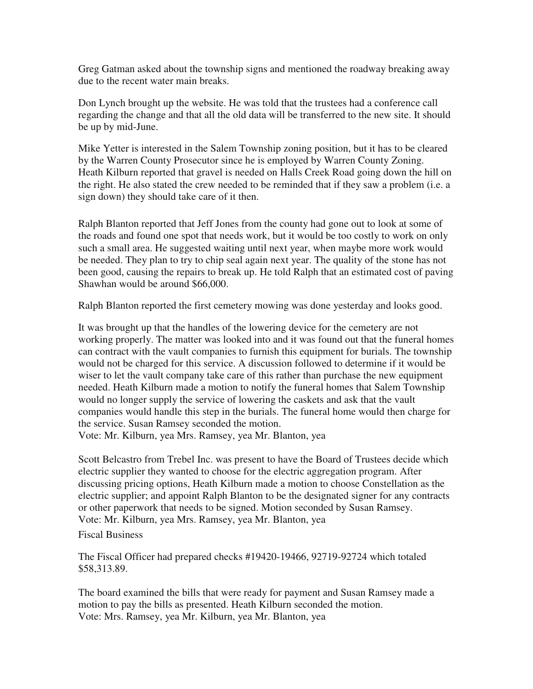Greg Gatman asked about the township signs and mentioned the roadway breaking away due to the recent water main breaks.

Don Lynch brought up the website. He was told that the trustees had a conference call regarding the change and that all the old data will be transferred to the new site. It should be up by mid-June.

Mike Yetter is interested in the Salem Township zoning position, but it has to be cleared by the Warren County Prosecutor since he is employed by Warren County Zoning. Heath Kilburn reported that gravel is needed on Halls Creek Road going down the hill on the right. He also stated the crew needed to be reminded that if they saw a problem (i.e. a sign down) they should take care of it then.

Ralph Blanton reported that Jeff Jones from the county had gone out to look at some of the roads and found one spot that needs work, but it would be too costly to work on only such a small area. He suggested waiting until next year, when maybe more work would be needed. They plan to try to chip seal again next year. The quality of the stone has not been good, causing the repairs to break up. He told Ralph that an estimated cost of paving Shawhan would be around \$66,000.

Ralph Blanton reported the first cemetery mowing was done yesterday and looks good.

It was brought up that the handles of the lowering device for the cemetery are not working properly. The matter was looked into and it was found out that the funeral homes can contract with the vault companies to furnish this equipment for burials. The township would not be charged for this service. A discussion followed to determine if it would be wiser to let the vault company take care of this rather than purchase the new equipment needed. Heath Kilburn made a motion to notify the funeral homes that Salem Township would no longer supply the service of lowering the caskets and ask that the vault companies would handle this step in the burials. The funeral home would then charge for the service. Susan Ramsey seconded the motion.

Vote: Mr. Kilburn, yea Mrs. Ramsey, yea Mr. Blanton, yea

Scott Belcastro from Trebel Inc. was present to have the Board of Trustees decide which electric supplier they wanted to choose for the electric aggregation program. After discussing pricing options, Heath Kilburn made a motion to choose Constellation as the electric supplier; and appoint Ralph Blanton to be the designated signer for any contracts or other paperwork that needs to be signed. Motion seconded by Susan Ramsey. Vote: Mr. Kilburn, yea Mrs. Ramsey, yea Mr. Blanton, yea

Fiscal Business

The Fiscal Officer had prepared checks #19420-19466, 92719-92724 which totaled \$58,313.89.

The board examined the bills that were ready for payment and Susan Ramsey made a motion to pay the bills as presented. Heath Kilburn seconded the motion. Vote: Mrs. Ramsey, yea Mr. Kilburn, yea Mr. Blanton, yea